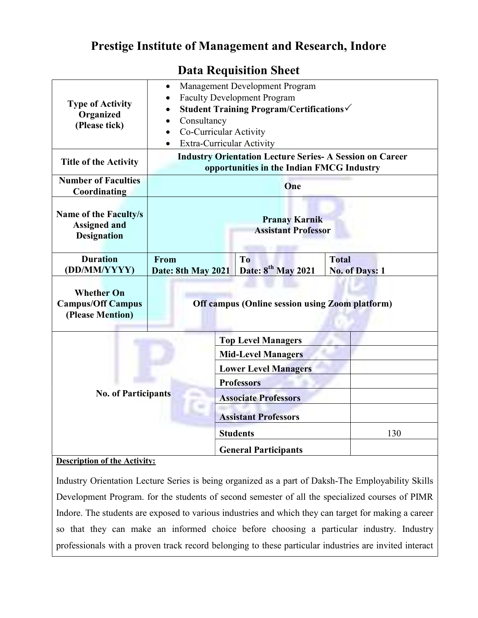## Prestige Institute of Management and Research, Indore

| <b>Type of Activity</b><br>Organized<br>(Please tick)              | Management Development Program<br>$\bullet$<br><b>Faculty Development Program</b><br>Student Training Program/Certifications√<br>Consultancy<br>Co-Curricular Activity<br>Extra-Curricular Activity |                                                          |                                       |
|--------------------------------------------------------------------|-----------------------------------------------------------------------------------------------------------------------------------------------------------------------------------------------------|----------------------------------------------------------|---------------------------------------|
| <b>Title of the Activity</b>                                       | <b>Industry Orientation Lecture Series- A Session on Career</b><br>opportunities in the Indian FMCG Industry                                                                                        |                                                          |                                       |
| <b>Number of Faculties</b><br>Coordinating                         | One                                                                                                                                                                                                 |                                                          |                                       |
| Name of the Faculty/s<br><b>Assigned and</b><br><b>Designation</b> | <b>Pranay Karnik</b><br><b>Assistant Professor</b>                                                                                                                                                  |                                                          |                                       |
| <b>Duration</b><br>(DD/MM/YYYY)                                    | From<br>Date: 8th May 2021                                                                                                                                                                          | T <sub>o</sub><br>Date: 8 <sup>th</sup> May 2021         | <b>Total</b><br><b>No. of Days: 1</b> |
| <b>Whether On</b><br><b>Campus/Off Campus</b><br>(Please Mention)  | <b>Off campus (Online session using Zoom platform)</b>                                                                                                                                              |                                                          |                                       |
| <b>No. of Participants</b>                                         |                                                                                                                                                                                                     | <b>Top Level Managers</b>                                |                                       |
|                                                                    |                                                                                                                                                                                                     | <b>Mid-Level Managers</b><br><b>Lower Level Managers</b> |                                       |
|                                                                    |                                                                                                                                                                                                     | <b>Professors</b>                                        |                                       |
|                                                                    |                                                                                                                                                                                                     | <b>Associate Professors</b>                              |                                       |
|                                                                    |                                                                                                                                                                                                     | <b>Assistant Professors</b>                              |                                       |
|                                                                    |                                                                                                                                                                                                     | <b>Students</b>                                          | 130                                   |
|                                                                    |                                                                                                                                                                                                     | <b>General Participants</b>                              |                                       |

## Data Requisition Sheet

## Description of the Activity:

Industry Orientation Lecture Series is being organized as a part of Daksh-The Employability Skills Development Program. for the students of second semester of all the specialized courses of PIMR Indore. The students are exposed to various industries and which they can target for making a career so that they can make an informed choice before choosing a particular industry. Industry professionals with a proven track record belonging to these particular industries are invited interact